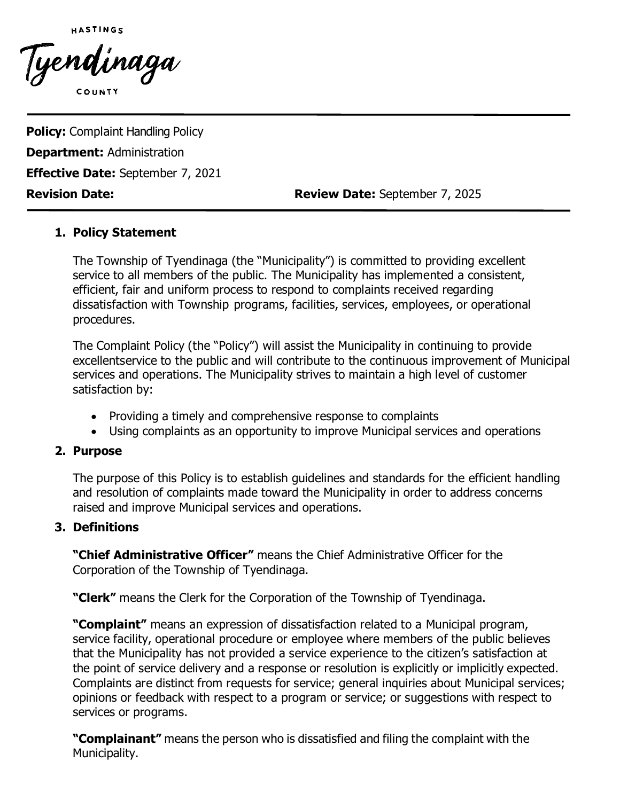

Tyendinaga

**Policy:** Complaint Handling Policy **Department:** Administration **Effective Date:** September 7, 2021

**Revision Date: Review Date:** September 7, 2025

## **1. Policy Statement**

The Township of Tyendinaga (the "Municipality") is committed to providing excellent service to all members of the public. The Municipality has implemented a consistent, efficient, fair and uniform process to respond to complaints received regarding dissatisfaction with Township programs, facilities, services, employees, or operational procedures.

The Complaint Policy (the "Policy") will assist the Municipality in continuing to provide excellentservice to the public and will contribute to the continuous improvement of Municipal services and operations. The Municipality strives to maintain a high level of customer satisfaction by:

- Providing a timely and comprehensive response to complaints
- Using complaints as an opportunity to improve Municipal services and operations

### **2. Purpose**

The purpose of this Policy is to establish guidelines and standards for the efficient handling and resolution of complaints made toward the Municipality in order to address concerns raised and improve Municipal services and operations.

### **3. Definitions**

**"Chief Administrative Officer"** means the Chief Administrative Officer for the Corporation of the Township of Tyendinaga.

**"Clerk"** means the Clerk for the Corporation of the Township of Tyendinaga.

**"Complaint"** means an expression of dissatisfaction related to a Municipal program, service facility, operational procedure or employee where members of the public believes that the Municipality has not provided a service experience to the citizen's satisfaction at the point of service delivery and a response or resolution is explicitly or implicitly expected. Complaints are distinct from requests for service; general inquiries about Municipal services; opinions or feedback with respect to a program or service; or suggestions with respect to services or programs.

**"Complainant"** means the person who is dissatisfied and filing the complaint with the Municipality.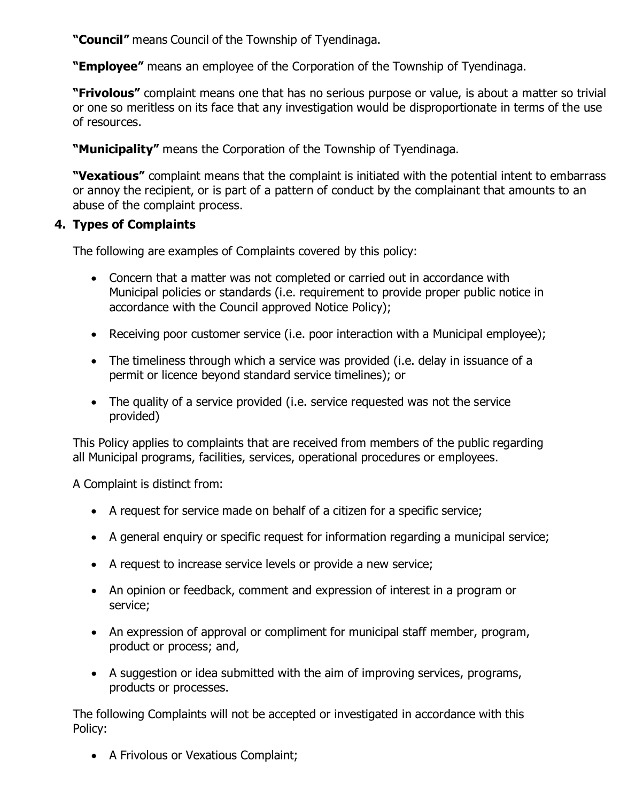**"Council"** means Council of the Township of Tyendinaga.

**"Employee"** means an employee of the Corporation of the Township of Tyendinaga.

**"Frivolous"** complaint means one that has no serious purpose or value, is about a matter so trivial or one so meritless on its face that any investigation would be disproportionate in terms of the use of resources.

**"Municipality"** means the Corporation of the Township of Tyendinaga.

**"Vexatious"** complaint means that the complaint is initiated with the potential intent to embarrass or annoy the recipient, or is part of a pattern of conduct by the complainant that amounts to an abuse of the complaint process.

# **4. Types of Complaints**

The following are examples of Complaints covered by this policy:

- Concern that a matter was not completed or carried out in accordance with Municipal policies or standards (i.e. requirement to provide proper public notice in accordance with the Council approved Notice Policy);
- Receiving poor customer service (i.e. poor interaction with a Municipal employee);
- The timeliness through which a service was provided (i.e. delay in issuance of a permit or licence beyond standard service timelines); or
- The quality of a service provided (i.e. service requested was not the service provided)

This Policy applies to complaints that are received from members of the public regarding all Municipal programs, facilities, services, operational procedures or employees.

A Complaint is distinct from:

- A request for service made on behalf of a citizen for a specific service;
- A general enquiry or specific request for information regarding a municipal service;
- A request to increase service levels or provide a new service;
- An opinion or feedback, comment and expression of interest in a program or service;
- An expression of approval or compliment for municipal staff member, program, product or process; and,
- A suggestion or idea submitted with the aim of improving services, programs, products or processes.

The following Complaints will not be accepted or investigated in accordance with this Policy:

• A Frivolous or Vexatious Complaint;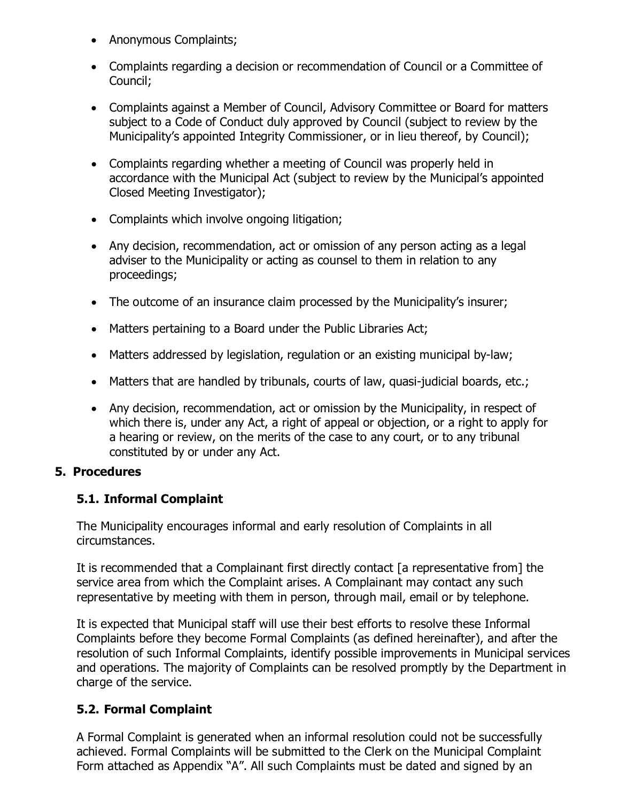- Anonymous Complaints;
- Complaints regarding a decision or recommendation of Council or a Committee of Council;
- Complaints against a Member of Council, Advisory Committee or Board for matters subject to a Code of Conduct duly approved by Council (subject to review by the Municipality's appointed Integrity Commissioner, or in lieu thereof, by Council);
- Complaints regarding whether a meeting of Council was properly held in accordance with the Municipal Act (subject to review by the Municipal's appointed Closed Meeting Investigator);
- Complaints which involve ongoing litigation;
- Any decision, recommendation, act or omission of any person acting as a legal adviser to the Municipality or acting as counsel to them in relation to any proceedings;
- The outcome of an insurance claim processed by the Municipality's insurer;
- Matters pertaining to a Board under the Public Libraries Act;
- Matters addressed by legislation, regulation or an existing municipal by-law;
- Matters that are handled by tribunals, courts of law, quasi-judicial boards, etc.;
- Any decision, recommendation, act or omission by the Municipality, in respect of which there is, under any Act, a right of appeal or objection, or a right to apply for a hearing or review, on the merits of the case to any court, or to any tribunal constituted by or under any Act.

### **5. Procedures**

# **5.1. Informal Complaint**

The Municipality encourages informal and early resolution of Complaints in all circumstances.

It is recommended that a Complainant first directly contact [a representative from] the service area from which the Complaint arises. A Complainant may contact any such representative by meeting with them in person, through mail, email or by telephone.

It is expected that Municipal staff will use their best efforts to resolve these Informal Complaints before they become Formal Complaints (as defined hereinafter), and after the resolution of such Informal Complaints, identify possible improvements in Municipal services and operations. The majority of Complaints can be resolved promptly by the Department in charge of the service.

# **5.2. Formal Complaint**

A Formal Complaint is generated when an informal resolution could not be successfully achieved. Formal Complaints will be submitted to the Clerk on the Municipal Complaint Form attached as Appendix "A". All such Complaints must be dated and signed by an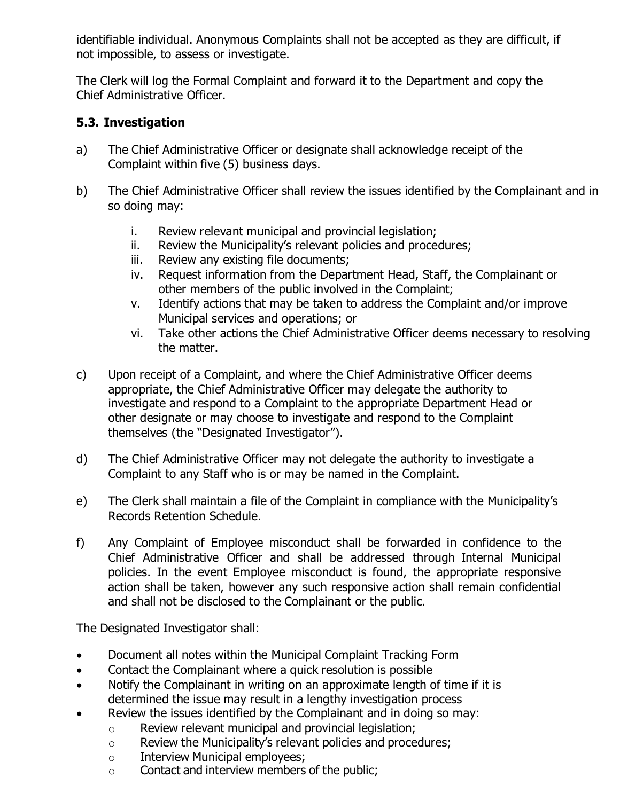identifiable individual. Anonymous Complaints shall not be accepted as they are difficult, if not impossible, to assess or investigate.

The Clerk will log the Formal Complaint and forward it to the Department and copy the Chief Administrative Officer.

# **5.3. Investigation**

- a) The Chief Administrative Officer or designate shall acknowledge receipt of the Complaint within five (5) business days.
- b) The Chief Administrative Officer shall review the issues identified by the Complainant and in so doing may:
	- i. Review relevant municipal and provincial legislation;<br>ii. Review the Municipality's relevant policies and proce
	- Review the Municipality's relevant policies and procedures;
	- iii. Review any existing file documents;
	- iv. Request information from the Department Head, Staff, the Complainant or other members of the public involved in the Complaint;
	- v. Identify actions that may be taken to address the Complaint and/or improve Municipal services and operations; or
	- vi. Take other actions the Chief Administrative Officer deems necessary to resolving the matter.
- c) Upon receipt of a Complaint, and where the Chief Administrative Officer deems appropriate, the Chief Administrative Officer may delegate the authority to investigate and respond to a Complaint to the appropriate Department Head or other designate or may choose to investigate and respond to the Complaint themselves (the "Designated Investigator").
- d) The Chief Administrative Officer may not delegate the authority to investigate a Complaint to any Staff who is or may be named in the Complaint.
- e) The Clerk shall maintain a file of the Complaint in compliance with the Municipality's Records Retention Schedule.
- f) Any Complaint of Employee misconduct shall be forwarded in confidence to the Chief Administrative Officer and shall be addressed through Internal Municipal policies. In the event Employee misconduct is found, the appropriate responsive action shall be taken, however any such responsive action shall remain confidential and shall not be disclosed to the Complainant or the public.

The Designated Investigator shall:

- Document all notes within the Municipal Complaint Tracking Form
- Contact the Complainant where a quick resolution is possible
- Notify the Complainant in writing on an approximate length of time if it is determined the issue may result in a lengthy investigation process
- Review the issues identified by the Complainant and in doing so may:
	- o Review relevant municipal and provincial legislation;
	- o Review the Municipality's relevant policies and procedures;
	- o Interview Municipal employees;
	- o Contact and interview members of the public;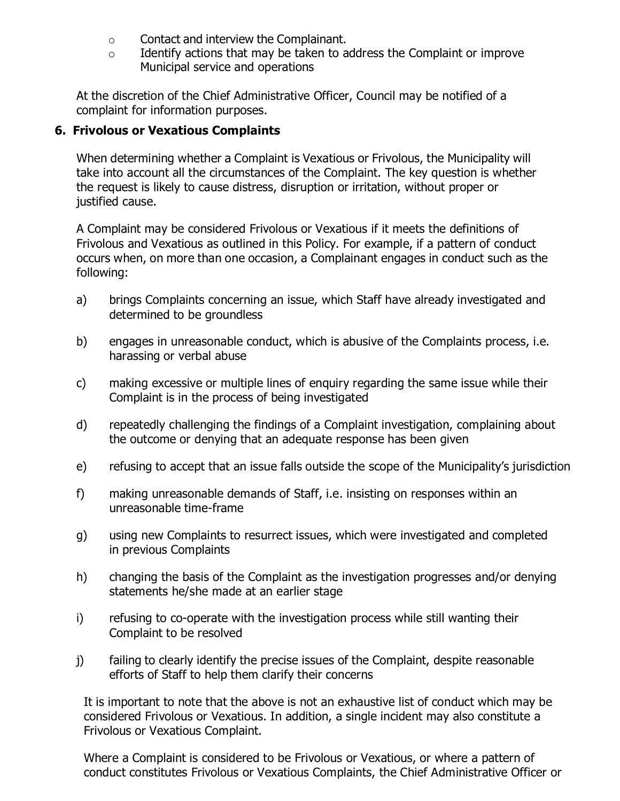- o Contact and interview the Complainant.
- $\circ$  Identify actions that may be taken to address the Complaint or improve Municipal service and operations

At the discretion of the Chief Administrative Officer, Council may be notified of a complaint for information purposes.

## **6. Frivolous or Vexatious Complaints**

When determining whether a Complaint is Vexatious or Frivolous, the Municipality will take into account all the circumstances of the Complaint. The key question is whether the request is likely to cause distress, disruption or irritation, without proper or justified cause.

A Complaint may be considered Frivolous or Vexatious if it meets the definitions of Frivolous and Vexatious as outlined in this Policy. For example, if a pattern of conduct occurs when, on more than one occasion, a Complainant engages in conduct such as the following:

- a) brings Complaints concerning an issue, which Staff have already investigated and determined to be groundless
- b) engages in unreasonable conduct, which is abusive of the Complaints process, i.e. harassing or verbal abuse
- c) making excessive or multiple lines of enquiry regarding the same issue while their Complaint is in the process of being investigated
- d) repeatedly challenging the findings of a Complaint investigation, complaining about the outcome or denying that an adequate response has been given
- e) refusing to accept that an issue falls outside the scope of the Municipality's jurisdiction
- f) making unreasonable demands of Staff, i.e. insisting on responses within an unreasonable time-frame
- g) using new Complaints to resurrect issues, which were investigated and completed in previous Complaints
- h) changing the basis of the Complaint as the investigation progresses and/or denying statements he/she made at an earlier stage
- i) refusing to co-operate with the investigation process while still wanting their Complaint to be resolved
- j) failing to clearly identify the precise issues of the Complaint, despite reasonable efforts of Staff to help them clarify their concerns

It is important to note that the above is not an exhaustive list of conduct which may be considered Frivolous or Vexatious. In addition, a single incident may also constitute a Frivolous or Vexatious Complaint.

Where a Complaint is considered to be Frivolous or Vexatious, or where a pattern of conduct constitutes Frivolous or Vexatious Complaints, the Chief Administrative Officer or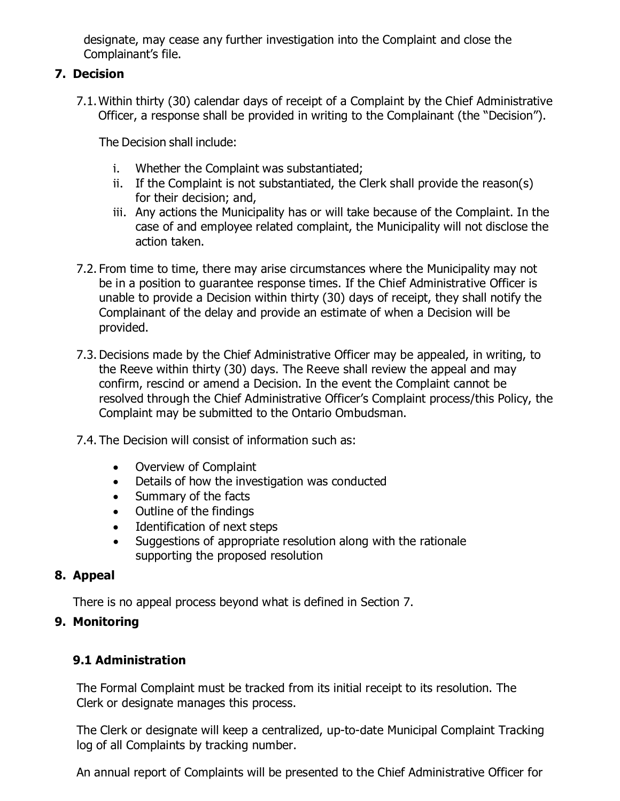designate, may cease any further investigation into the Complaint and close the Complainant's file.

# **7. Decision**

7.1.Within thirty (30) calendar days of receipt of a Complaint by the Chief Administrative Officer, a response shall be provided in writing to the Complainant (the "Decision").

The Decision shall include:

- i. Whether the Complaint was substantiated;
- ii. If the Complaint is not substantiated, the Clerk shall provide the reason(s) for their decision; and,
- iii. Any actions the Municipality has or will take because of the Complaint. In the case of and employee related complaint, the Municipality will not disclose the action taken.
- 7.2. From time to time, there may arise circumstances where the Municipality may not be in a position to guarantee response times. If the Chief Administrative Officer is unable to provide a Decision within thirty (30) days of receipt, they shall notify the Complainant of the delay and provide an estimate of when a Decision will be provided.
- 7.3. Decisions made by the Chief Administrative Officer may be appealed, in writing, to the Reeve within thirty (30) days. The Reeve shall review the appeal and may confirm, rescind or amend a Decision. In the event the Complaint cannot be resolved through the Chief Administrative Officer's Complaint process/this Policy, the Complaint may be submitted to the Ontario Ombudsman.
- 7.4. The Decision will consist of information such as:
	- Overview of Complaint
	- Details of how the investigation was conducted
	- Summary of the facts
	- Outline of the findings
	- Identification of next steps
	- Suggestions of appropriate resolution along with the rationale supporting the proposed resolution

# **8. Appeal**

There is no appeal process beyond what is defined in Section 7.

# **9. Monitoring**

# **9.1 Administration**

The Formal Complaint must be tracked from its initial receipt to its resolution. The Clerk or designate manages this process.

The Clerk or designate will keep a centralized, up-to-date Municipal Complaint Tracking log of all Complaints by tracking number.

An annual report of Complaints will be presented to the Chief Administrative Officer for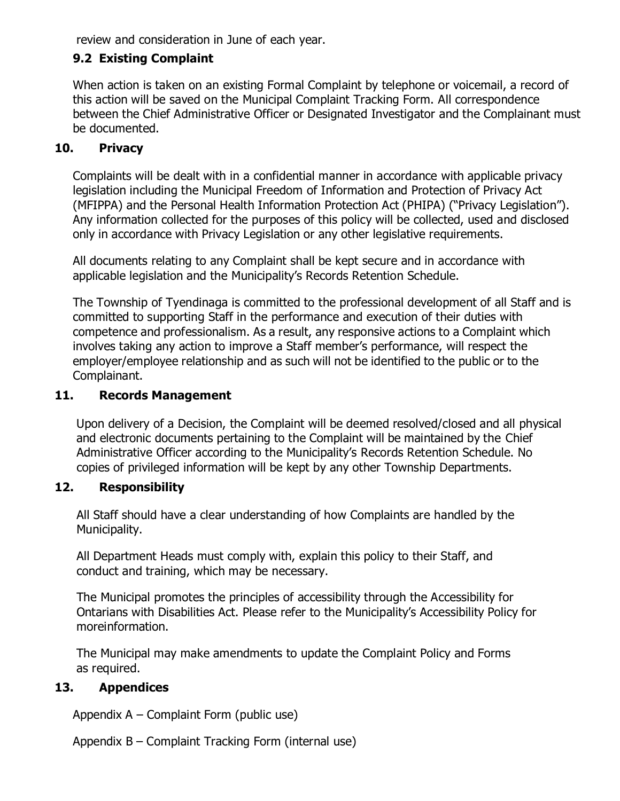review and consideration in June of each year.

# **9.2 Existing Complaint**

When action is taken on an existing Formal Complaint by telephone or voicemail, a record of this action will be saved on the Municipal Complaint Tracking Form. All correspondence between the Chief Administrative Officer or Designated Investigator and the Complainant must be documented.

## **10. Privacy**

Complaints will be dealt with in a confidential manner in accordance with applicable privacy legislation including the Municipal Freedom of Information and Protection of Privacy Act (MFIPPA) and the Personal Health Information Protection Act (PHIPA) ("Privacy Legislation"). Any information collected for the purposes of this policy will be collected, used and disclosed only in accordance with Privacy Legislation or any other legislative requirements.

All documents relating to any Complaint shall be kept secure and in accordance with applicable legislation and the Municipality's Records Retention Schedule.

The Township of Tyendinaga is committed to the professional development of all Staff and is committed to supporting Staff in the performance and execution of their duties with competence and professionalism. As a result, any responsive actions to a Complaint which involves taking any action to improve a Staff member's performance, will respect the employer/employee relationship and as such will not be identified to the public or to the Complainant.

### **11. Records Management**

Upon delivery of a Decision, the Complaint will be deemed resolved/closed and all physical and electronic documents pertaining to the Complaint will be maintained by the Chief Administrative Officer according to the Municipality's Records Retention Schedule. No copies of privileged information will be kept by any other Township Departments.

### **12. Responsibility**

All Staff should have a clear understanding of how Complaints are handled by the Municipality.

All Department Heads must comply with, explain this policy to their Staff, and conduct and training, which may be necessary.

The Municipal promotes the principles of accessibility through the Accessibility for Ontarians with Disabilities Act. Please refer to the Municipality's Accessibility Policy for moreinformation.

The Municipal may make amendments to update the Complaint Policy and Forms as required.

### **13. Appendices**

Appendix A – Complaint Form (public use)

Appendix B – Complaint Tracking Form (internal use)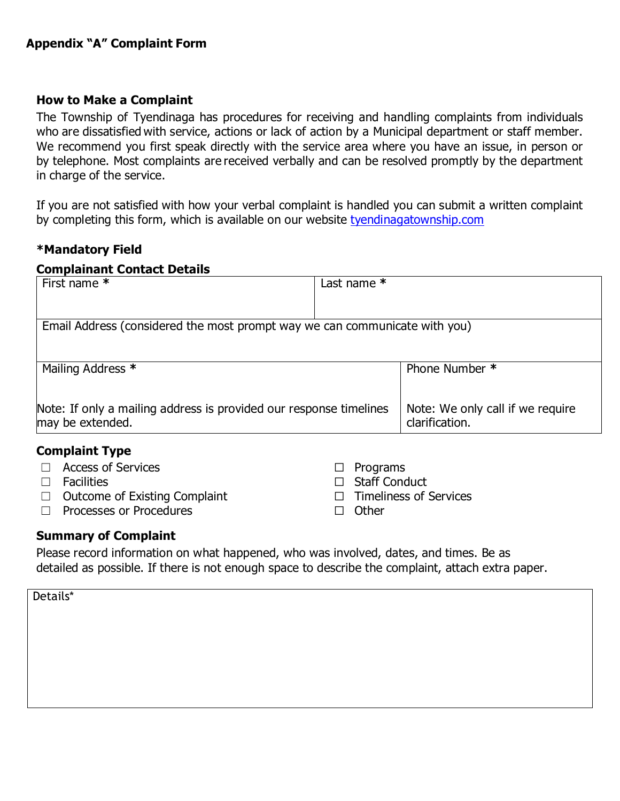### **How to Make a Complaint**

The Township of Tyendinaga has procedures for receiving and handling complaints from individuals who are dissatisfied with service, actions or lack of action by a Municipal department or staff member. We recommend you first speak directly with the service area where you have an issue, in person or by telephone. Most complaints are received verbally and can be resolved promptly by the department in charge of the service.

If you are not satisfied with how your verbal complaint is handled you can submit a written complaint by completing this form, which is available on our website [tyendinagatownship.com](http://www.tyendinagatownship.com/)

#### **\*Mandatory Field**

#### **Complainant Contact Details**

| First name *                                                                           | Last name $*$                                      |  |  |  |  |
|----------------------------------------------------------------------------------------|----------------------------------------------------|--|--|--|--|
|                                                                                        |                                                    |  |  |  |  |
| Email Address (considered the most prompt way we can communicate with you)             |                                                    |  |  |  |  |
|                                                                                        |                                                    |  |  |  |  |
| Mailing Address *                                                                      | Phone Number *                                     |  |  |  |  |
|                                                                                        |                                                    |  |  |  |  |
| Note: If only a mailing address is provided our response timelines<br>may be extended. | Note: We only call if we require<br>clarification. |  |  |  |  |
|                                                                                        |                                                    |  |  |  |  |

#### **Complaint Type**

| $\Box$ Access of Services            | $\Box$ Programs               |
|--------------------------------------|-------------------------------|
| $\Box$ Facilities                    | $\Box$ Staff Conduct          |
| $\Box$ Outcome of Existing Complaint | $\Box$ Timeliness of Services |
| $\Box$ Processes or Procedures       | $\Box$ Other                  |

#### **Summary of Complaint**

Please record information on what happened, who was involved, dates, and times. Be as detailed as possible. If there is not enough space to describe the complaint, attach extra paper.

| Details* |  |  |  |
|----------|--|--|--|
|          |  |  |  |
|          |  |  |  |
|          |  |  |  |
|          |  |  |  |
|          |  |  |  |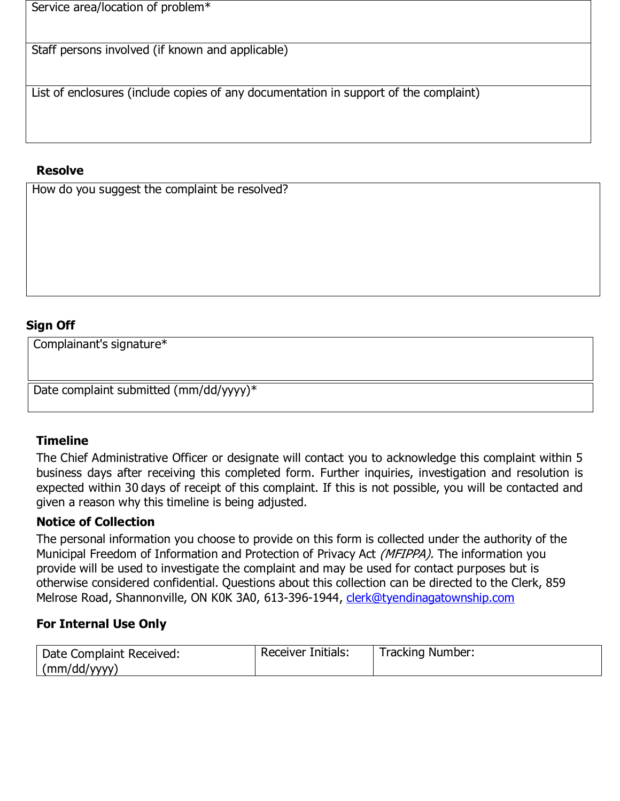Service area/location of problem\*

Staff persons involved (if known and applicable)

List of enclosures (include copies of any documentation in support of the complaint)

### **Resolve**

How do you suggest the complaint be resolved?

## **Sign Off**

Complainant's signature\*

Date complaint submitted (mm/dd/yyyy)\*

### **Timeline**

The Chief Administrative Officer or designate will contact you to acknowledge this complaint within 5 business days after receiving this completed form. Further inquiries, investigation and resolution is expected within 30 days of receipt of this complaint. If this is not possible, you will be contacted and given a reason why this timeline is being adjusted.

### **Notice of Collection**

The personal information you choose to provide on this form is collected under the authority of the Municipal Freedom of Information and Protection of Privacy Act *(MFIPPA)*. The information you provide will be used to investigate the complaint and may be used for contact purposes but is otherwise considered confidential. Questions about this collection can be directed to the Clerk, 859 Melrose Road, Shannonville, ON K0K 3A0, 613-396-1944, [clerk@tyendinagatownship.com](mailto:clerk@tyendinagatownship.com)

### **For Internal Use Only**

| Date Complaint Received: | <b>Receiver Initials:</b> | Tracking Number: |
|--------------------------|---------------------------|------------------|
| (mm/dd/yyyy)             |                           |                  |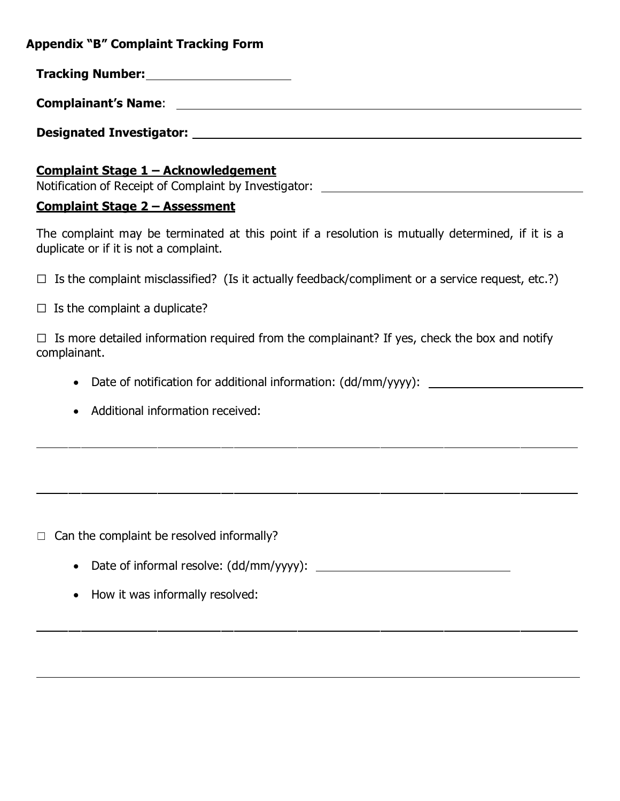**Appendix "B" Complaint Tracking Form**

**Tracking Number:**

**Designated Investigator:**

### **Complaint Stage 1 – Acknowledgement**

Notification of Receipt of Complaint by Investigator:

### **Complaint Stage 2 – Assessment**

The complaint may be terminated at this point if a resolution is mutually determined, if it is a duplicate or if it is not a complaint.

 $\Box$  Is the complaint misclassified? (Is it actually feedback/compliment or a service request, etc.?)

 $\Box$  Is the complaint a duplicate?

 $\Box$  Is more detailed information required from the complainant? If yes, check the box and notify complainant.

- Date of notification for additional information: (dd/mm/yyyy):
- Additional information received:

 $\Box$  Can the complaint be resolved informally?

- Date of informal resolve: (dd/mm/yyyy):
- How it was informally resolved: